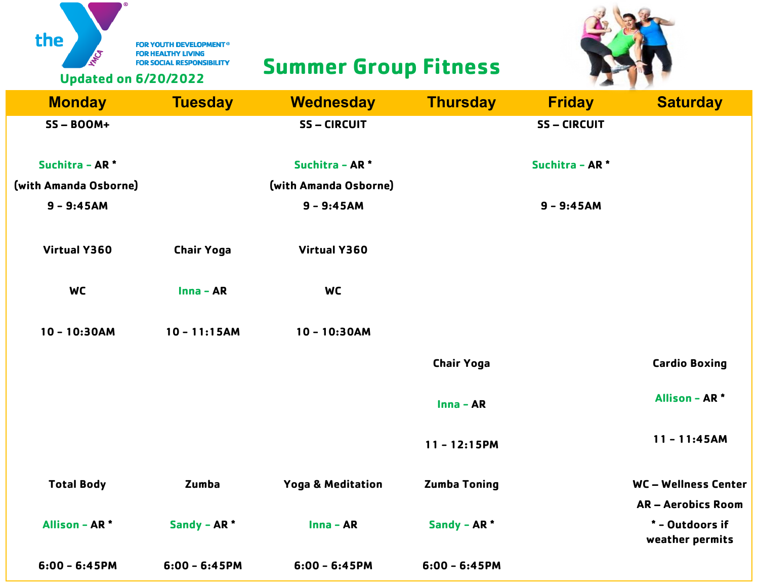FOR YOUTH DEVELOPMENT®

# **SUMMER SUMMER SUMMER GROUP FITNESS**



the

| <b>Monday</b>                         | <b>Tuesday</b>    | <b>Wednesday</b>                      | <b>Thursday</b>     | <b>Friday</b>              | <b>Saturday</b>                    |
|---------------------------------------|-------------------|---------------------------------------|---------------------|----------------------------|------------------------------------|
| $SS - BOOM+$                          |                   | <b>SS-CIRCUIT</b>                     |                     | <b>SS-CIRCUIT</b>          |                                    |
| Suchitra - AR <sup>*</sup>            |                   | Suchitra - AR <sup>*</sup>            |                     | Suchitra - AR <sup>*</sup> |                                    |
| (with Amanda Osborne)<br>$9 - 9:45AM$ |                   | (with Amanda Osborne)<br>$9 - 9:45AM$ |                     | $9 - 9:45AM$               |                                    |
|                                       |                   |                                       |                     |                            |                                    |
| <b>Virtual Y360</b>                   | <b>Chair Yoga</b> | <b>Virtual Y360</b>                   |                     |                            |                                    |
| <b>WC</b>                             | $Inna - AR$       | <b>WC</b>                             |                     |                            |                                    |
| $10 - 10:30AM$                        | $10 - 11:15AM$    | $10 - 10:30AM$                        |                     |                            |                                    |
|                                       |                   |                                       | <b>Chair Yoga</b>   |                            | <b>Cardio Boxing</b>               |
|                                       |                   |                                       | Inna - AR           |                            | <b>Allison - AR*</b>               |
|                                       |                   |                                       | $11 - 12:15PM$      |                            | $11 - 11:45AM$                     |
| <b>Total Body</b>                     | Zumba             | <b>Yoga &amp; Meditation</b>          | <b>Zumba Toning</b> |                            | WC-Wellness Center                 |
|                                       |                   |                                       |                     |                            | <b>AR-Aerobics Room</b>            |
| <b>Allison - AR*</b>                  | Sandy - AR *      | $Inna - AR$                           | Sandy - AR *        |                            | * - Outdoors if<br>weather permits |
| $6:00 - 6:45PM$                       | $6:00 - 6:45PM$   | $6:00 - 6:45PM$                       | $6:00 - 6:45PM$     |                            |                                    |